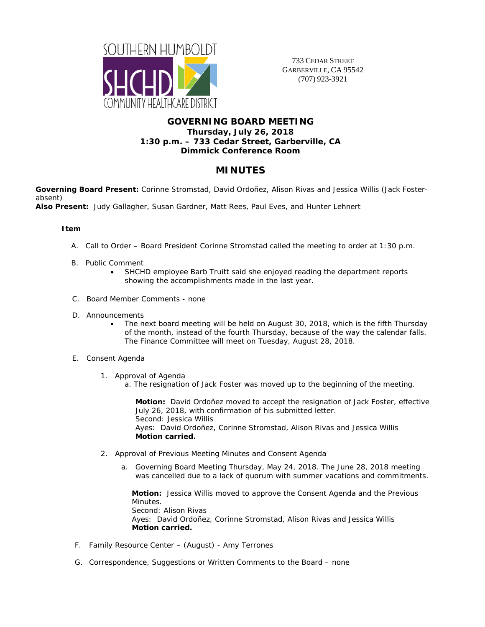

733 CEDAR STREET GARBERVILLE, CA 95542 (707) 923-3921

## **GOVERNING BOARD MEETING Thursday, July 26, 2018 1:30 p.m. – 733 Cedar Street, Garberville, CA Dimmick Conference Room**

# **MINUTES**

**Governing Board Present:** Corinne Stromstad, David Ordoñez, Alison Rivas and Jessica Willis (Jack Fosterabsent)

**Also Present:** Judy Gallagher, Susan Gardner, Matt Rees, Paul Eves, and Hunter Lehnert

## **Item**

- A. Call to Order Board President Corinne Stromstad called the meeting to order at 1:30 p.m.
- B. Public Comment
	- SHCHD employee Barb Truitt said she enjoyed reading the department reports showing the accomplishments made in the last year.
- C. Board Member Comments none
- D. Announcements
	- The next board meeting will be held on August 30, 2018, which is the fifth Thursday of the month, instead of the fourth Thursday, because of the way the calendar falls. The Finance Committee will meet on Tuesday, August 28, 2018.
- E. Consent Agenda
	- 1. Approval of Agenda
		- a. The resignation of Jack Foster was moved up to the beginning of the meeting.

**Motion:** David Ordoñez moved to accept the resignation of Jack Foster, effective July 26, 2018, with confirmation of his submitted letter. Second: Jessica Willis Ayes: David Ordoñez, Corinne Stromstad, Alison Rivas and Jessica Willis **Motion carried.**

- 2. Approval of Previous Meeting Minutes and Consent Agenda
	- a. Governing Board Meeting Thursday, May 24, 2018. The June 28, 2018 meeting was cancelled due to a lack of quorum with summer vacations and commitments.

**Motion:** Jessica Willis moved to approve the Consent Agenda and the Previous Minutes. Second: Alison Rivas Ayes: David Ordoñez, Corinne Stromstad, Alison Rivas and Jessica Willis **Motion carried.**

- F. Family Resource Center (August) Amy Terrones
- G. Correspondence, Suggestions or Written Comments to the Board none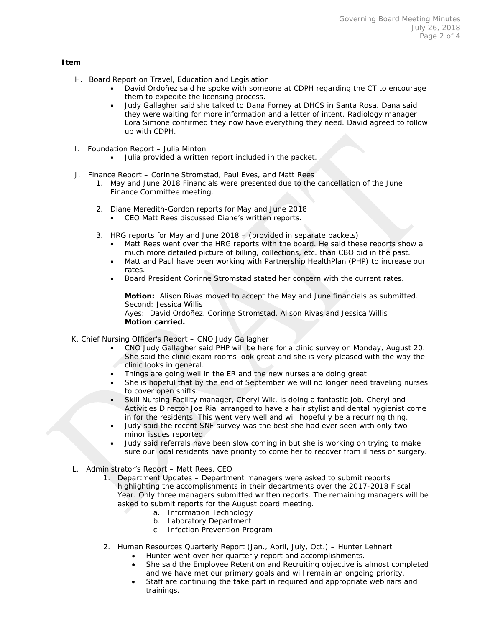#### **Item**

- H. Board Report on Travel, Education and Legislation
	- David Ordoñez said he spoke with someone at CDPH regarding the CT to encourage them to expedite the licensing process.
	- Judy Gallagher said she talked to Dana Forney at DHCS in Santa Rosa. Dana said they were waiting for more information and a letter of intent. Radiology manager Lora Simone confirmed they now have everything they need. David agreed to follow up with CDPH.
- I. Foundation Report Julia Minton
	- Julia provided a written report included in the packet.
- J. Finance Report Corinne Stromstad, Paul Eves, and Matt Rees
	- 1. May and June 2018 Financials were presented due to the cancellation of the June Finance Committee meeting.
	- 2. Diane Meredith-Gordon reports for May and June 2018 • CEO Matt Rees discussed Diane's written reports.
	- 3. HRG reports for May and June 2018 (provided in separate packets)
		- Matt Rees went over the HRG reports with the board. He said these reports show a much more detailed picture of billing, collections, etc. than CBO did in the past.
		- Matt and Paul have been working with Partnership HealthPlan (PHP) to increase our rates.
		- Board President Corinne Stromstad stated her concern with the current rates.

**Motion:** Alison Rivas moved to accept the May and June financials as submitted. Second: Jessica Willis Ayes: David Ordoñez, Corinne Stromstad, Alison Rivas and Jessica Willis **Motion carried.**

- K. Chief Nursing Officer's Report CNO Judy Gallagher
	- CNO Judy Gallagher said PHP will be here for a clinic survey on Monday, August 20. She said the clinic exam rooms look great and she is very pleased with the way the clinic looks in general.
	- Things are going well in the ER and the new nurses are doing great.
	- She is hopeful that by the end of September we will no longer need traveling nurses to cover open shifts.
	- Skill Nursing Facility manager, Cheryl Wik, is doing a fantastic job. Cheryl and Activities Director Joe Rial arranged to have a hair stylist and dental hygienist come in for the residents. This went very well and will hopefully be a recurring thing.
	- Judy said the recent SNF survey was the best she had ever seen with only two minor issues reported.
	- Judy said referrals have been slow coming in but she is working on trying to make sure our local residents have priority to come her to recover from illness or surgery.
- L. Administrator's Report Matt Rees, CEO
	- 1. Department Updates Department managers were asked to submit reports highlighting the accomplishments in their departments over the 2017-2018 Fiscal Year. Only three managers submitted written reports. The remaining managers will be asked to submit reports for the August board meeting.
		- a. Information Technology
		- b. Laboratory Department
		- c. Infection Prevention Program
	- 2. Human Resources Quarterly Report (Jan., April, July, Oct.) Hunter Lehnert
		- Hunter went over her quarterly report and accomplishments.
			- She said the Employee Retention and Recruiting objective is almost completed and we have met our primary goals and will remain an ongoing priority.
		- Staff are continuing the take part in required and appropriate webinars and trainings.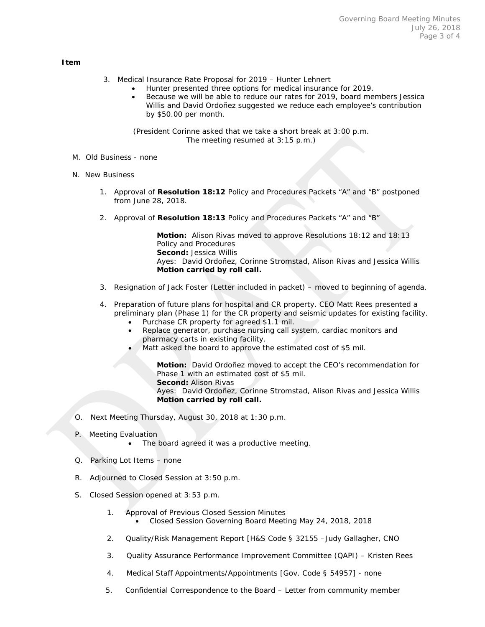#### **Item**

- 3. Medical Insurance Rate Proposal for 2019 Hunter Lehnert
	- Hunter presented three options for medical insurance for 2019.
	- Because we will be able to reduce our rates for 2019, board members Jessica Willis and David Ordoñez suggested we reduce each employee's contribution by \$50.00 per month.

(President Corinne asked that we take a short break at 3:00 p.m. The meeting resumed at 3:15 p.m.)

- M. Old Business none
- N. New Business
	- 1. Approval of **Resolution 18:12** Policy and Procedures Packets "A" and "B" postponed from June 28, 2018.
	- 2. Approval of **Resolution 18:13** Policy and Procedures Packets "A" and "B"

**Motion:** Alison Rivas moved to approve Resolutions 18:12 and 18:13 Policy and Procedures **Second:** Jessica Willis Ayes: David Ordoñez, Corinne Stromstad, Alison Rivas and Jessica Willis **Motion carried by roll call.**

3. Resignation of Jack Foster (Letter included in packet) – moved to beginning of agenda.

## 4. Preparation of future plans for hospital and CR property. CEO Matt Rees presented a preliminary plan (Phase 1) for the CR property and seismic updates for existing facility.

- Purchase CR property for agreed \$1.1 mil.
- Replace generator, purchase nursing call system, cardiac monitors and pharmacy carts in existing facility.
- Matt asked the board to approve the estimated cost of \$5 mil.

**Motion:** David Ordoñez moved to accept the CEO's recommendation for Phase 1 with an estimated cost of \$5 mil. **Second:** Alison Rivas Ayes: David Ordoñez, Corinne Stromstad, Alison Rivas and Jessica Willis **Motion carried by roll call.**

- O. Next Meeting Thursday, August 30, 2018 at 1:30 p.m.
- P. Meeting Evaluation
	- The board agreed it was a productive meeting.
- Q. Parking Lot Items none
- R. Adjourned to Closed Session at 3:50 p.m.
- S. Closed Session opened at 3:53 p.m.
	- 1. Approval of Previous Closed Session Minutes • Closed Session Governing Board Meeting May 24, 2018, 2018
	- 2. Quality/Risk Management Report [H&S Code § 32155 –Judy Gallagher, CNO
	- 3. Quality Assurance Performance Improvement Committee (QAPI) Kristen Rees
	- 4. Medical Staff Appointments/Appointments [Gov. Code § 54957] none
	- 5. Confidential Correspondence to the Board Letter from community member